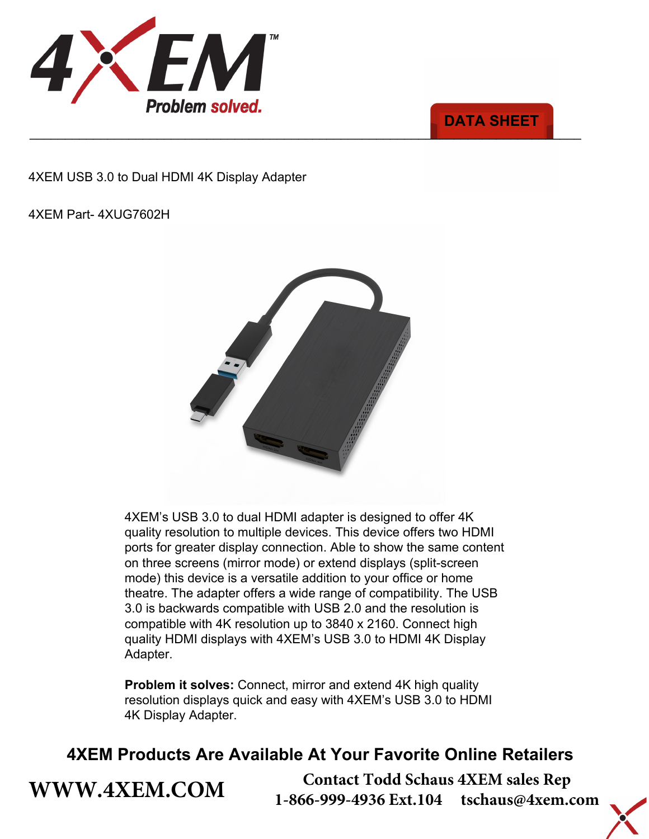



4XEM USB 3.0 to Dual HDMI 4K Display Adapter

### 4XEM Part- 4XUG7602H

**[WWW.4XEM.COM](www.4xem.com)** 



4XEM's USB 3.0 to dual HDMI adapter is designed to offer 4K quality resolution to multiple devices. This device offers two HDMI ports for greater display connection. Able to show the same content on three screens (mirror mode) or extend displays (split-screen mode) this device is a versatile addition to your office or home theatre. The adapter offers a wide range of compatibility. The USB 3.0 is backwards compatible with USB 2.0 and the resolution is compatible with 4K resolution up to 3840 x 2160. Connect high quality HDMI displays with 4XEM's USB 3.0 to HDMI 4K Display Adapter.

**Problem it solves:** Connect, mirror and extend 4K high quality resolution displays quick and easy with 4XEM's USB 3.0 to HDMI 4K Display Adapter.

# **4XEM Products Are Available At Your Favorite Online Retailers**

**Contact Todd Schaus 4XEM sales Rep 1-866-999-4936 Ext.104 tschaus@4xem.com**

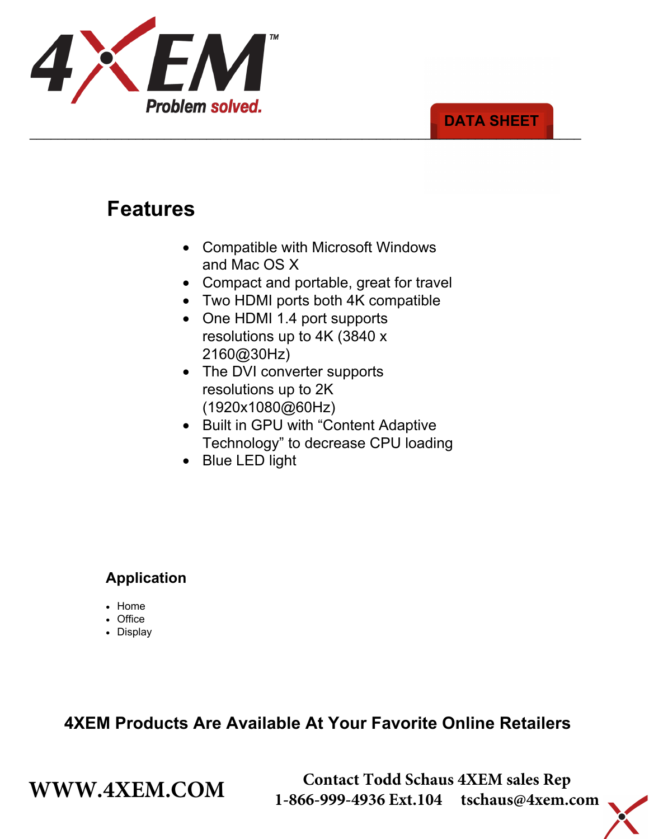

### \_\_\_\_\_\_\_\_\_\_\_\_\_\_\_\_\_\_\_\_\_\_\_\_\_\_\_\_\_\_\_\_\_\_\_\_\_\_\_\_\_\_\_\_\_\_\_\_\_\_\_\_\_\_\_\_\_\_\_\_\_\_\_\_\_\_\_\_\_\_\_\_\_\_\_\_\_\_ **DATA SHEET**

# **Features**

- Compatible with Microsoft Windows and Mac OS X
- Compact and portable, great for travel
- Two HDMI ports both 4K compatible
- One HDMI 1.4 port supports resolutions up to 4K (3840 x 2160@30Hz)
- The DVI converter supports resolutions up to 2K (1920x1080@60Hz)
- Built in GPU with "Content Adaptive Technology" to decrease CPU loading
- Blue LED light

## **Application**

- Home
- Office
- Display

# **4XEM Products Are Available At Your Favorite Online Retailers**

**WWW.4XEM.COM** <sup>Contact Todd Schaus 4XEM sales Rep<br>1-866-999-4936 Ext.104 tschaus@4xem.com</sup> 1-866-999-4936 Ext.104